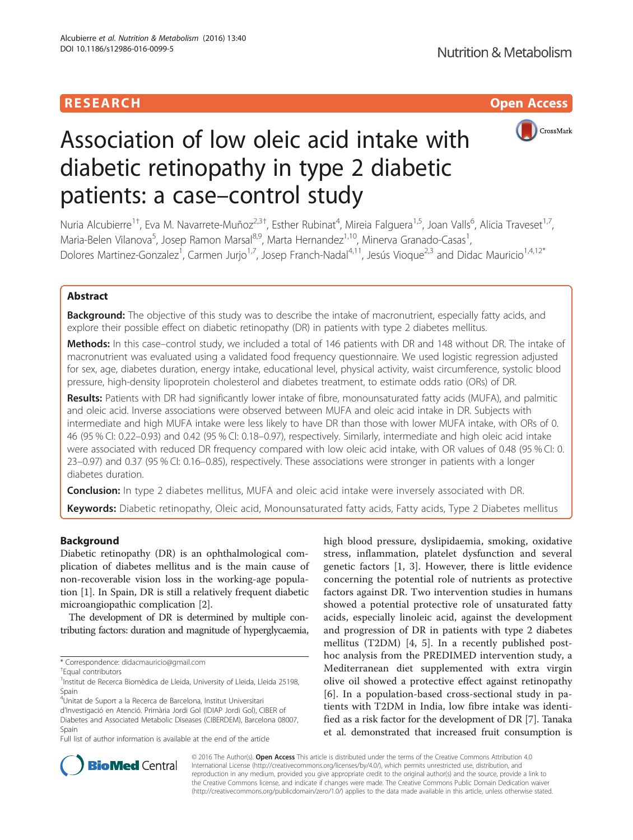# **RESEARCH CHILD CONTROL** CONTROL CONTROL CONTROL CONTROL CONTROL CONTROL CONTROL CONTROL CONTROL CONTROL CONTROL CONTROL CONTROL CONTROL CONTROL CONTROL CONTROL CONTROL CONTROL CONTROL CONTROL CONTROL CONTROL CONTROL CONTR



# Association of low oleic acid intake with diabetic retinopathy in type 2 diabetic patients: a case–control study

Nuria Alcubierre<sup>1†</sup>, Eva M. Navarrete-Muñoz<sup>2,3†</sup>, Esther Rubinat<sup>4</sup>, Mireia Falguera<sup>1,5</sup>, Joan Valls<sup>6</sup>, Alicia Traveset<sup>1,7</sup>, Maria-Belen Vilanova<sup>5</sup>, Josep Ramon Marsal<sup>8,9</sup>, Marta Hernandez<sup>1,10</sup>, Minerva Granado-Casas<sup>1</sup> , Dolores Martinez-Gonzalez<sup>1</sup>, Carmen Jurjo<sup>1,7</sup>, Josep Franch-Nadal<sup>4,11</sup>, Jesús Vioque<sup>2,3</sup> and Didac Mauricio<sup>1,4,12\*</sup>

# Abstract

**Background:** The objective of this study was to describe the intake of macronutrient, especially fatty acids, and explore their possible effect on diabetic retinopathy (DR) in patients with type 2 diabetes mellitus.

Methods: In this case–control study, we included a total of 146 patients with DR and 148 without DR. The intake of macronutrient was evaluated using a validated food frequency questionnaire. We used logistic regression adjusted for sex, age, diabetes duration, energy intake, educational level, physical activity, waist circumference, systolic blood pressure, high-density lipoprotein cholesterol and diabetes treatment, to estimate odds ratio (ORs) of DR.

Results: Patients with DR had significantly lower intake of fibre, monounsaturated fatty acids (MUFA), and palmitic and oleic acid. Inverse associations were observed between MUFA and oleic acid intake in DR. Subjects with intermediate and high MUFA intake were less likely to have DR than those with lower MUFA intake, with ORs of 0. 46 (95 % CI: 0.22–0.93) and 0.42 (95 % CI: 0.18–0.97), respectively. Similarly, intermediate and high oleic acid intake were associated with reduced DR frequency compared with low oleic acid intake, with OR values of 0.48 (95 % CI: 0. 23–0.97) and 0.37 (95 % CI: 0.16–0.85), respectively. These associations were stronger in patients with a longer diabetes duration.

Conclusion: In type 2 diabetes mellitus, MUFA and oleic acid intake were inversely associated with DR.

Keywords: Diabetic retinopathy, Oleic acid, Monounsaturated fatty acids, Fatty acids, Type 2 Diabetes mellitus

# Background

Diabetic retinopathy (DR) is an ophthalmological complication of diabetes mellitus and is the main cause of non-recoverable vision loss in the working-age population [\[1\]](#page-6-0). In Spain, DR is still a relatively frequent diabetic microangiopathic complication [[2\]](#page-6-0).

The development of DR is determined by multiple contributing factors: duration and magnitude of hyperglycaemia,

4 Unitat de Suport a la Recerca de Barcelona, Institut Universitari

d'Investigació en Atenció. Primària Jordi Gol (IDIAP Jordi Gol), CIBER of Diabetes and Associated Metabolic Diseases (CIBERDEM), Barcelona 08007, Spain

Full list of author information is available at the end of the article

high blood pressure, dyslipidaemia, smoking, oxidative stress, inflammation, platelet dysfunction and several genetic factors [\[1](#page-6-0), [3\]](#page-6-0). However, there is little evidence concerning the potential role of nutrients as protective factors against DR. Two intervention studies in humans showed a potential protective role of unsaturated fatty acids, especially linoleic acid, against the development and progression of DR in patients with type 2 diabetes mellitus (T2DM) [\[4](#page-6-0), [5](#page-6-0)]. In a recently published posthoc analysis from the PREDIMED intervention study, a Mediterranean diet supplemented with extra virgin olive oil showed a protective effect against retinopathy [[6](#page-6-0)]. In a population-based cross-sectional study in patients with T2DM in India, low fibre intake was identified as a risk factor for the development of DR [\[7](#page-6-0)]. Tanaka et al. demonstrated that increased fruit consumption is



© 2016 The Author(s). Open Access This article is distributed under the terms of the Creative Commons Attribution 4.0 International License [\(http://creativecommons.org/licenses/by/4.0/](http://creativecommons.org/licenses/by/4.0/)), which permits unrestricted use, distribution, and reproduction in any medium, provided you give appropriate credit to the original author(s) and the source, provide a link to the Creative Commons license, and indicate if changes were made. The Creative Commons Public Domain Dedication waiver [\(http://creativecommons.org/publicdomain/zero/1.0/](http://creativecommons.org/publicdomain/zero/1.0/)) applies to the data made available in this article, unless otherwise stated.

<sup>\*</sup> Correspondence: [didacmauricio@gmail.com](mailto:didacmauricio@gmail.com) †

<sup>&</sup>lt;sup>†</sup>Faual contributors

<sup>&</sup>lt;sup>1</sup>Institut de Recerca Biomèdica de Lleida, University of Lleida, Lleida 25198, Spain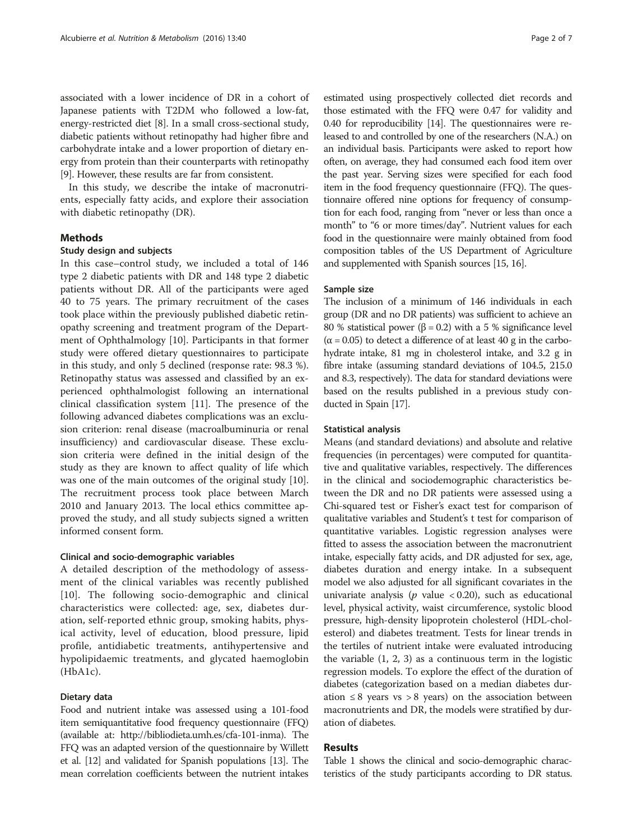associated with a lower incidence of DR in a cohort of Japanese patients with T2DM who followed a low-fat, energy-restricted diet [\[8](#page-6-0)]. In a small cross-sectional study, diabetic patients without retinopathy had higher fibre and carbohydrate intake and a lower proportion of dietary energy from protein than their counterparts with retinopathy [[9\]](#page-6-0). However, these results are far from consistent.

In this study, we describe the intake of macronutrients, especially fatty acids, and explore their association with diabetic retinopathy (DR).

## Methods

## Study design and subjects

In this case–control study, we included a total of 146 type 2 diabetic patients with DR and 148 type 2 diabetic patients without DR. All of the participants were aged 40 to 75 years. The primary recruitment of the cases took place within the previously published diabetic retinopathy screening and treatment program of the Department of Ophthalmology [\[10](#page-6-0)]. Participants in that former study were offered dietary questionnaires to participate in this study, and only 5 declined (response rate: 98.3 %). Retinopathy status was assessed and classified by an experienced ophthalmologist following an international clinical classification system [\[11\]](#page-6-0). The presence of the following advanced diabetes complications was an exclusion criterion: renal disease (macroalbuminuria or renal insufficiency) and cardiovascular disease. These exclusion criteria were defined in the initial design of the study as they are known to affect quality of life which was one of the main outcomes of the original study [\[10](#page-6-0)]. The recruitment process took place between March 2010 and January 2013. The local ethics committee approved the study, and all study subjects signed a written informed consent form.

#### Clinical and socio-demographic variables

A detailed description of the methodology of assessment of the clinical variables was recently published [[10](#page-6-0)]. The following socio-demographic and clinical characteristics were collected: age, sex, diabetes duration, self-reported ethnic group, smoking habits, physical activity, level of education, blood pressure, lipid profile, antidiabetic treatments, antihypertensive and hypolipidaemic treatments, and glycated haemoglobin (HbA1c).

## Dietary data

Food and nutrient intake was assessed using a 101-food item semiquantitative food frequency questionnaire (FFQ) (available at:<http://bibliodieta.umh.es/cfa-101-inma>). The FFQ was an adapted version of the questionnaire by Willett et al. [[12](#page-6-0)] and validated for Spanish populations [[13](#page-6-0)]. The mean correlation coefficients between the nutrient intakes

estimated using prospectively collected diet records and those estimated with the FFQ were 0.47 for validity and 0.40 for reproducibility [\[14](#page-6-0)]. The questionnaires were released to and controlled by one of the researchers (N.A.) on an individual basis. Participants were asked to report how often, on average, they had consumed each food item over the past year. Serving sizes were specified for each food item in the food frequency questionnaire (FFQ). The questionnaire offered nine options for frequency of consumption for each food, ranging from "never or less than once a month" to "6 or more times/day". Nutrient values for each food in the questionnaire were mainly obtained from food composition tables of the US Department of Agriculture and supplemented with Spanish sources [\[15](#page-6-0), [16\]](#page-6-0).

## Sample size

The inclusion of a minimum of 146 individuals in each group (DR and no DR patients) was sufficient to achieve an 80 % statistical power (β = 0.2) with a 5 % significance level  $(α = 0.05)$  to detect a difference of at least 40 g in the carbohydrate intake, 81 mg in cholesterol intake, and 3.2 g in fibre intake (assuming standard deviations of 104.5, 215.0 and 8.3, respectively). The data for standard deviations were based on the results published in a previous study conducted in Spain [\[17\]](#page-6-0).

#### Statistical analysis

Means (and standard deviations) and absolute and relative frequencies (in percentages) were computed for quantitative and qualitative variables, respectively. The differences in the clinical and sociodemographic characteristics between the DR and no DR patients were assessed using a Chi-squared test or Fisher's exact test for comparison of qualitative variables and Student's t test for comparison of quantitative variables. Logistic regression analyses were fitted to assess the association between the macronutrient intake, especially fatty acids, and DR adjusted for sex, age, diabetes duration and energy intake. In a subsequent model we also adjusted for all significant covariates in the univariate analysis ( $p$  value < 0.20), such as educational level, physical activity, waist circumference, systolic blood pressure, high-density lipoprotein cholesterol (HDL-cholesterol) and diabetes treatment. Tests for linear trends in the tertiles of nutrient intake were evaluated introducing the variable (1, 2, 3) as a continuous term in the logistic regression models. To explore the effect of the duration of diabetes (categorization based on a median diabetes duration  $\leq 8$  years vs  $> 8$  years) on the association between macronutrients and DR, the models were stratified by duration of diabetes.

# Results

Table [1](#page-2-0) shows the clinical and socio-demographic characteristics of the study participants according to DR status.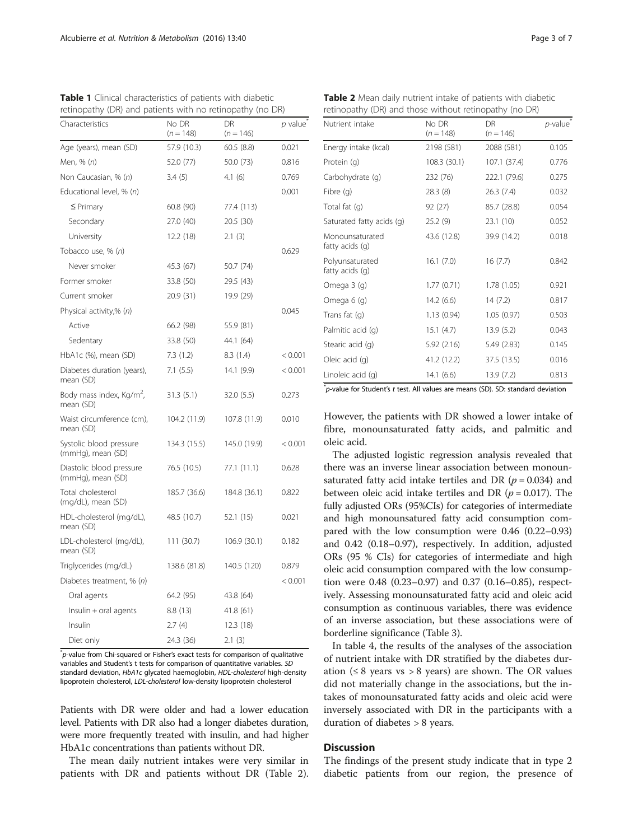| Characteristics                                   | No DR        | - 1- - -<br>DR | p value |
|---------------------------------------------------|--------------|----------------|---------|
|                                                   | $(n = 148)$  | $(n = 146)$    |         |
| Age (years), mean (SD)                            | 57.9 (10.3)  | 60.5(8.8)      | 0.021   |
| Men, % (n)                                        | 52.0 (77)    | 50.0 (73)      | 0.816   |
| Non Caucasian, % (n)                              | 3.4(5)       | 4.1(6)         | 0.769   |
| Educational level, % (n)                          |              |                | 0.001   |
| $\leq$ Primary                                    | 60.8 (90)    | 77.4 (113)     |         |
| Secondary                                         | 27.0 (40)    | 20.5 (30)      |         |
| University                                        | 12.2(18)     | 2.1(3)         |         |
| Tobacco use, % (n)                                |              |                | 0.629   |
| Never smoker                                      | 45.3 (67)    | 50.7 (74)      |         |
| Former smoker                                     | 33.8 (50)    | 29.5 (43)      |         |
| Current smoker                                    | 20.9 (31)    | 19.9 (29)      |         |
| Physical activity,% (n)                           |              |                | 0.045   |
| Active                                            | 66.2 (98)    | 55.9 (81)      |         |
| Sedentary                                         | 33.8 (50)    | 44.1 (64)      |         |
| HbA1c (%), mean (SD)                              | 7.3(1.2)     | 8.3(1.4)       | < 0.001 |
| Diabetes duration (years),<br>mean (SD)           | 7.1(5.5)     | 14.1 (9.9)     | < 0.001 |
| Body mass index, Kg/m <sup>2</sup> ,<br>mean (SD) | 31.3(5.1)    | 32.0 (5.5)     | 0.273   |
| Waist circumference (cm),<br>mean (SD)            | 104.2 (11.9) | 107.8 (11.9)   | 0.010   |
| Systolic blood pressure<br>(mmHg), mean (SD)      | 134.3 (15.5) | 145.0 (19.9)   | < 0.001 |
| Diastolic blood pressure<br>(mmHg), mean (SD)     | 76.5 (10.5)  | 77.1 (11.1)    | 0.628   |
| Total cholesterol<br>(mg/dL), mean (SD)           | 185.7 (36.6) | 184.8 (36.1)   | 0.822   |
| HDL-cholesterol (mg/dL),<br>mean (SD)             | 48.5 (10.7)  | 52.1 (15)      | 0.021   |
| LDL-cholesterol (mg/dL),<br>mean (SD)             | 111 (30.7)   | 106.9(30.1)    | 0.182   |
| Triglycerides (mg/dL)                             | 138.6 (81.8) | 140.5 (120)    | 0.879   |
| Diabetes treatment, % (n)                         |              |                | < 0.001 |
| Oral agents                                       | 64.2 (95)    | 43.8 (64)      |         |
| Insulin + oral agents                             | 8.8 (13)     | 41.8 (61)      |         |
| Insulin                                           | 2.7(4)       | 12.3 (18)      |         |
| Diet only                                         | 24.3 (36)    | 2.1(3)         |         |

<span id="page-2-0"></span>Table 1 Clinical characteristics of patients with diabetic retinopathy (DR) and patients with no retinopathy (no DR)

\* p-value from Chi-squared or Fisher's exact tests for comparison of qualitative variables and Student's t tests for comparison of quantitative variables. SD standard deviation, HbA1c glycated haemoglobin, HDL-cholesterol high-density lipoprotein cholesterol, LDL-cholesterol low-density lipoprotein cholesterol

Patients with DR were older and had a lower education level. Patients with DR also had a longer diabetes duration, were more frequently treated with insulin, and had higher HbA1c concentrations than patients without DR.

The mean daily nutrient intakes were very similar in patients with DR and patients without DR (Table 2).

Table 2 Mean daily nutrient intake of patients with diabetic retinopathy (DR) and those without retinopathy (no DR)

| Nutrient intake                    | No DR<br>$(n = 148)$ | D <sub>R</sub><br>$(n = 146)$ | p-value <sup>*</sup> |
|------------------------------------|----------------------|-------------------------------|----------------------|
| Energy intake (kcal)               | 2198 (581)           | 2088 (581)                    | 0.105                |
| Protein (g)                        | 108.3 (30.1)         | 107.1 (37.4)                  | 0.776                |
| Carbohydrate (g)                   | 232 (76)             | 222.1 (79.6)                  | 0.275                |
| Fibre (g)                          | 28.3(8)              | 26.3(7.4)                     | 0.032                |
| Total fat (g)                      | 92(27)               | 85.7 (28.8)                   | 0.054                |
| Saturated fatty acids (g)          | 25.2(9)              | 23.1 (10)                     | 0.052                |
| Monounsaturated<br>fatty acids (g) | 43.6 (12.8)          | 39.9 (14.2)                   | 0.018                |
| Polyunsaturated<br>fatty acids (g) | 16.1(7.0)            | 16(7.7)                       | 0.842                |
| Omega 3 (g)                        | 1.77(0.71)           | 1.78(1.05)                    | 0.921                |
| Omega 6 (g)                        | 14.2(6.6)            | 14(7.2)                       | 0.817                |
| Trans fat (g)                      | 1.13(0.94)           | 1.05(0.97)                    | 0.503                |
| Palmitic acid (g)                  | 15.1(4.7)            | 13.9(5.2)                     | 0.043                |
| Stearic acid (g)                   | 5.92(2.16)           | 5.49(2.83)                    | 0.145                |
| Oleic acid (g)                     | 41.2 (12.2)          | 37.5 (13.5)                   | 0.016                |
| Linoleic acid (g)                  | 14.1(6.6)            | 13.9 (7.2)                    | 0.813                |

 $p^*$ p-value for Student's t test. All values are means (SD). SD: standard deviation

However, the patients with DR showed a lower intake of fibre, monounsaturated fatty acids, and palmitic and oleic acid.

The adjusted logistic regression analysis revealed that there was an inverse linear association between monounsaturated fatty acid intake tertiles and DR ( $p = 0.034$ ) and between oleic acid intake tertiles and DR ( $p = 0.017$ ). The fully adjusted ORs (95%CIs) for categories of intermediate and high monounsatured fatty acid consumption compared with the low consumption were 0.46 (0.22–0.93) and 0.42 (0.18–0.97), respectively. In addition, adjusted ORs (95 % CIs) for categories of intermediate and high oleic acid consumption compared with the low consumption were 0.48 (0.23–0.97) and 0.37 (0.16–0.85), respectively. Assessing monounsaturated fatty acid and oleic acid consumption as continuous variables, there was evidence of an inverse association, but these associations were of borderline significance (Table [3\)](#page-3-0).

In table [4](#page-4-0), the results of the analyses of the association of nutrient intake with DR stratified by the diabetes duration ( $\leq$  8 years vs > 8 years) are shown. The OR values did not materially change in the associations, but the intakes of monounsaturated fatty acids and oleic acid were inversely associated with DR in the participants with a duration of diabetes > 8 years.

## **Discussion**

The findings of the present study indicate that in type 2 diabetic patients from our region, the presence of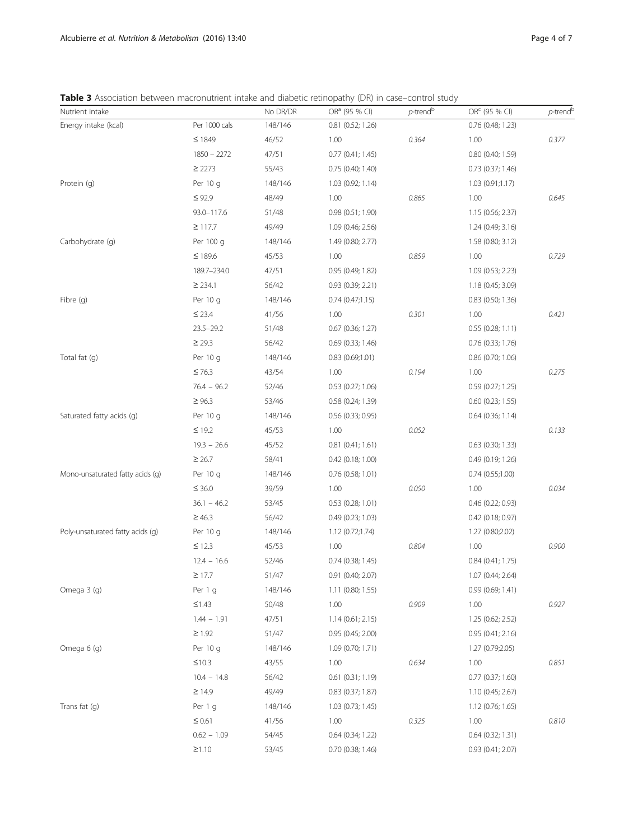<span id="page-3-0"></span>Table 3 Association between macronutrient intake and diabetic retinopathy (DR) in case–control study

| Nutrient intake                  |               | No DR/DR | OR <sup>a</sup> (95 % CI) | $p$ -trend $^{\rm b}$ | OR <sup>c</sup> (95 % CI) | p-trend <sup>b</sup> |
|----------------------------------|---------------|----------|---------------------------|-----------------------|---------------------------|----------------------|
| Energy intake (kcal)             | Per 1000 cals | 148/146  | 0.81 (0.52; 1.26)         |                       | 0.76 (0.48; 1.23)         |                      |
|                                  | $\leq 1849$   | 46/52    | 1.00                      | 0.364                 | 1.00                      | 0.377                |
|                                  | $1850 - 2272$ | 47/51    | 0.77(0.41; 1.45)          |                       | 0.80 (0.40; 1.59)         |                      |
|                                  | $\geq$ 2273   | 55/43    | $0.75$ $(0.40; 1.40)$     |                       | $0.73$ $(0.37; 1.46)$     |                      |
| Protein (g)                      | Per 10 g      | 148/146  | 1.03 (0.92; 1.14)         |                       | 1.03(0.91;1.17)           |                      |
|                                  | $\leq 92.9$   | 48/49    | 1.00                      | 0.865                 | 1.00                      | 0.645                |
|                                  | 93.0-117.6    | 51/48    | 0.98 (0.51; 1.90)         |                       | 1.15 (0.56; 2.37)         |                      |
|                                  | $\geq$ 117.7  | 49/49    | 1.09 (0.46; 2.56)         |                       | 1.24 (0.49; 3.16)         |                      |
| Carbohydrate (q)                 | Per 100 g     | 148/146  | 1.49 (0.80; 2.77)         |                       | 1.58 (0.80; 3.12)         |                      |
|                                  | ≤ 189.6       | 45/53    | 1.00                      | 0.859                 | 1.00                      | 0.729                |
|                                  | 189.7-234.0   | 47/51    | 0.95 (0.49; 1.82)         |                       | 1.09 (0.53; 2.23)         |                      |
|                                  | $\geq$ 234.1  | 56/42    | 0.93(0.39; 2.21)          |                       | 1.18 (0.45; 3.09)         |                      |
| Fibre (g)                        | Per 10 g      | 148/146  | 0.74(0.47;1.15)           |                       | $0.83$ (0.50; 1.36)       |                      |
|                                  | $\leq$ 23.4   | 41/56    | 1.00                      | 0.301                 | 1.00                      | 0.421                |
|                                  | $23.5 - 29.2$ | 51/48    | 0.67 (0.36; 1.27)         |                       | 0.55(0.28; 1.11)          |                      |
|                                  | $\geq$ 29.3   | 56/42    | $0.69$ $(0.33; 1.46)$     |                       | $0.76$ (0.33; 1.76)       |                      |
| Total fat (g)                    | Per 10 g      | 148/146  | 0.83(0.69;1.01)           |                       | $0.86$ (0.70; 1.06)       |                      |
|                                  | $\leq 76.3$   | 43/54    | 1.00                      | 0.194                 | 1.00                      | 0.275                |
|                                  | $76.4 - 96.2$ | 52/46    | $0.53$ $(0.27; 1.06)$     |                       | 0.59(0.27; 1.25)          |                      |
|                                  | $\geq 96.3$   | 53/46    | 0.58 (0.24; 1.39)         |                       | 0.60 (0.23; 1.55)         |                      |
| Saturated fatty acids (q)        | Per 10 g      | 148/146  | $0.56$ (0.33; 0.95)       |                       | $0.64$ (0.36; 1.14)       |                      |
|                                  | $\leq$ 19.2   | 45/53    | 1.00                      | 0.052                 |                           | 0.133                |
|                                  | $19.3 - 26.6$ | 45/52    | 0.81(0.41; 1.61)          |                       | $0.63$ $(0.30; 1.33)$     |                      |
|                                  | $\geq$ 26.7   | 58/41    | $0.42$ (0.18; 1.00)       |                       | 0.49 (0.19; 1.26)         |                      |
| Mono-unsaturated fatty acids (g) | Per 10 g      | 148/146  | $0.76$ (0.58; 1.01)       |                       | 0.74(0.55;1.00)           |                      |
|                                  | $≤ 36.0$      | 39/59    | 1.00                      | 0.050                 | 1.00                      | 0.034                |
|                                  | $36.1 - 46.2$ | 53/45    | 0.53 (0.28; 1.01)         |                       | 0.46 (0.22; 0.93)         |                      |
|                                  | $\geq 46.3$   | 56/42    | 0.49(0.23; 1.03)          |                       | $0.42$ (0.18; 0.97)       |                      |
| Poly-unsaturated fatty acids (g) | Per 10 g      | 148/146  | 1.12 (0.72;1.74)          |                       | 1.27 (0.80;2.02)          |                      |
|                                  | $\leq$ 12.3   | 45/53    | 1.00                      | 0.804                 | 1.00                      | 0.900                |
|                                  | $12.4 - 16.6$ | 52/46    | $0.74$ $(0.38; 1.45)$     |                       | $0.84$ (0.41; 1.75)       |                      |
|                                  | $\geq$ 17.7   | 51/47    | 0.91 (0.40; 2.07)         |                       | 1.07 (0.44; 2.64)         |                      |
| Omega 3 (g)                      | Per 1 g       | 148/146  | 1.11(0.80; 1.55)          |                       | 0.99(0.69; 1.41)          |                      |
|                                  | $≤1.43$       | 50/48    | 1.00                      | 0.909                 | 1.00                      | 0.927                |
|                                  | $1.44 - 1.91$ | 47/51    | 1.14(0.61; 2.15)          |                       | 1.25 (0.62; 2.52)         |                      |
|                                  | $\geq$ 1.92   | 51/47    | 0.95(0.45; 2.00)          |                       | 0.95(0.41; 2.16)          |                      |
| Omega 6 (g)                      | Per 10 g      | 148/146  | 1.09(0.70; 1.71)          |                       | 1.27 (0.79;2.05)          |                      |
|                                  | $\leq 10.3$   | 43/55    | 1.00                      | 0.634                 | 1.00                      | 0.851                |
|                                  | $10.4 - 14.8$ | 56/42    | $0.61$ $(0.31; 1.19)$     |                       | $0.77$ $(0.37; 1.60)$     |                      |
|                                  | $\geq$ 14.9   | 49/49    | $0.83$ $(0.37; 1.87)$     |                       | 1.10(0.45; 2.67)          |                      |
| Trans fat (g)                    | Per 1 g       | 148/146  | 1.03 (0.73; 1.45)         |                       | 1.12 (0.76; 1.65)         |                      |
|                                  | $\leq 0.61$   | 41/56    | 1.00                      | 0.325                 | 1.00                      | 0.810                |
|                                  | $0.62 - 1.09$ | 54/45    | $0.64$ $(0.34; 1.22)$     |                       | $0.64$ $(0.32; 1.31)$     |                      |
|                                  | $\geq 1.10$   | 53/45    | $0.70$ $(0.38; 1.46)$     |                       | 0.93(0.41; 2.07)          |                      |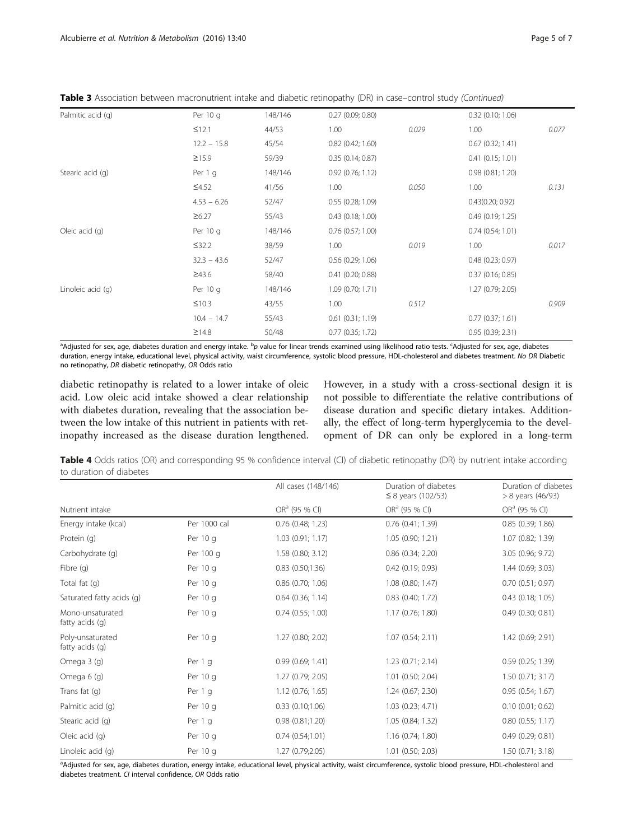| Palmitic acid (g) | Per 10 g      | 148/146 | 0.27(0.09; 0.80)    |       | $0.32$ (0.10; 1.06) |       |
|-------------------|---------------|---------|---------------------|-------|---------------------|-------|
|                   | $\leq$ 12.1   | 44/53   | 1.00                | 0.029 | 1.00                | 0.077 |
|                   | $12.2 - 15.8$ | 45/54   | 0.82(0.42; 1.60)    |       | 0.67(0.32; 1.41)    |       |
|                   | $\geq 15.9$   | 59/39   | 0.35(0.14; 0.87)    |       | 0.41(0.15; 1.01)    |       |
| Stearic acid (q)  | Per 1 g       | 148/146 | $0.92$ (0.76; 1.12) |       | 0.98(0.81; 1.20)    |       |
|                   | $\leq 4.52$   | 41/56   | 1.00                | 0.050 | 1.00                | 0.131 |
|                   | $4.53 - 6.26$ | 52/47   | 0.55(0.28; 1.09)    |       | 0.43(0.20; 0.92)    |       |
|                   | $\geq 6.27$   | 55/43   | $0.43$ (0.18; 1.00) |       | 0.49(0.19; 1.25)    |       |
| Oleic acid (g)    | Per 10 g      | 148/146 | 0.76(0.57; 1.00)    |       | 0.74(0.54; 1.01)    |       |
|                   | $\leq$ 32.2   | 38/59   | 1.00                | 0.019 | 1.00                | 0.017 |
|                   | $32.3 - 43.6$ | 52/47   | $0.56$ (0.29; 1.06) |       | 0.48(0.23; 0.97)    |       |
|                   | $\geq 43.6$   | 58/40   | $0.41$ (0.20; 0.88) |       | 0.37(0.16; 0.85)    |       |
| Linoleic acid (q) | Per $10q$     | 148/146 | 1.09 (0.70; 1.71)   |       | 1.27 (0.79; 2.05)   |       |
|                   | $\leq 10.3$   | 43/55   | 1.00                | 0.512 |                     | 0.909 |
|                   | $10.4 - 14.7$ | 55/43   | 0.61(0.31; 1.19)    |       | 0.77(0.37; 1.61)    |       |
|                   | $\geq$ 14.8   | 50/48   | 0.77(0.35; 1.72)    |       | 0.95(0.39; 2.31)    |       |

<span id="page-4-0"></span>Table 3 Association between macronutrient intake and diabetic retinopathy (DR) in case–control study (Continued)

<sup>a</sup>Adjusted for sex, age, diabetes duration and energy intake. <sup>b</sup>p value for linear trends examined using likelihood ratio tests. <sup>c</sup>Adjusted for sex, age, diabetes duration, energy intake, educational level, physical activity, waist circumference, systolic blood pressure, HDL-cholesterol and diabetes treatment. No DR Diabetic no retinopathy, DR diabetic retinopathy, OR Odds ratio

diabetic retinopathy is related to a lower intake of oleic acid. Low oleic acid intake showed a clear relationship with diabetes duration, revealing that the association between the low intake of this nutrient in patients with retinopathy increased as the disease duration lengthened.

However, in a study with a cross-sectional design it is not possible to differentiate the relative contributions of disease duration and specific dietary intakes. Additionally, the effect of long-term hyperglycemia to the development of DR can only be explored in a long-term

Table 4 Odds ratios (OR) and corresponding 95 % confidence interval (CI) of diabetic retinopathy (DR) by nutrient intake according to duration of diabetes

|                                     |              | All cases (148/146)       | Duration of diabetes<br>≤ 8 years (102/53) | Duration of diabetes<br>$> 8$ years (46/93) |  |
|-------------------------------------|--------------|---------------------------|--------------------------------------------|---------------------------------------------|--|
| Nutrient intake                     |              | OR <sup>a</sup> (95 % CI) | OR <sup>a</sup> (95 % CI)                  | OR <sup>a</sup> (95 % CI)                   |  |
| Energy intake (kcal)                | Per 1000 cal | $0.76$ $(0.48; 1.23)$     | $0.76$ $(0.41; 1.39)$                      | $0.85$ $(0.39; 1.86)$                       |  |
| Protein (q)                         | Per 10 g     | $1.03$ (0.91; 1.17)       | 1.05 (0.90; 1.21)                          | 1.07 (0.82; 1.39)                           |  |
| Carbohydrate (q)                    | Per 100 g    | 1.58 (0.80; 3.12)         | $0.86$ $(0.34; 2.20)$                      | 3.05 (0.96; 9.72)                           |  |
| Fibre (g)                           | Per 10 g     | $0.83$ $(0.50;1.36)$      | $0.42$ (0.19; 0.93)                        | 1.44(0.69; 3.03)                            |  |
| Total fat (q)                       | Per 10 g     | $0.86$ $(0.70; 1.06)$     | 1.08 (0.80; 1.47)                          | $0.70$ $(0.51; 0.97)$                       |  |
| Saturated fatty acids (q)           | Per 10 g     | $0.64$ $(0.36; 1.14)$     | $0.83$ $(0.40; 1.72)$                      | $0.43$ $(0.18; 1.05)$                       |  |
| Mono-unsaturated<br>fatty acids (q) | Per 10 g     | $0.74$ $(0.55; 1.00)$     | 1.17(0.76; 1.80)                           | $0.49$ (0.30; 0.81)                         |  |
| Poly-unsaturated<br>fatty acids (q) | Per $10q$    | 1.27(0.80; 2.02)          | 1.07(0.54; 2.11)                           | 1.42 (0.69; 2.91)                           |  |
| Omega 3 (g)                         | Per 1 g      | 0.99(0.69; 1.41)          | $1.23$ (0.71; 2.14)                        | 0.59(0.25; 1.39)                            |  |
| Omega 6 (g)                         | Per 10 g     | 1.27 (0.79; 2.05)         | 1.01 (0.50; 2.04)                          | 1.50(0.71; 3.17)                            |  |
| Trans fat $(q)$                     | Per 1 g      | $1.12$ (0.76; 1.65)       | 1.24(0.67; 2.30)                           | 0.95(0.54; 1.67)                            |  |
| Palmitic acid (q)                   | Per 10 g     | $0.33$ $(0.10;1.06)$      | $1.03$ (0.23; 4.71)                        | $0.10$ (0.01; 0.62)                         |  |
| Stearic acid (q)                    | Per 1 g      | 0.98(0.81;1.20)           | 1.05 (0.84; 1.32)                          | $0.80$ $(0.55; 1.17)$                       |  |
| Oleic acid (q)                      | Per 10 g     | 0.74(0.54;1.01)           | 1.16(0.74; 1.80)                           | 0.49(0.29; 0.81)                            |  |
| Linoleic acid (q)                   | Per 10 g     | 1.27 (0.79;2.05)          | 1.01 (0.50; 2.03)                          | 1.50 (0.71; 3.18)                           |  |

a<br>Adjusted for sex, age, diabetes duration, energy intake, educational level, physical activity, waist circumference, systolic blood pressure, HDL-cholesterol and diabetes treatment. CI interval confidence, OR Odds ratio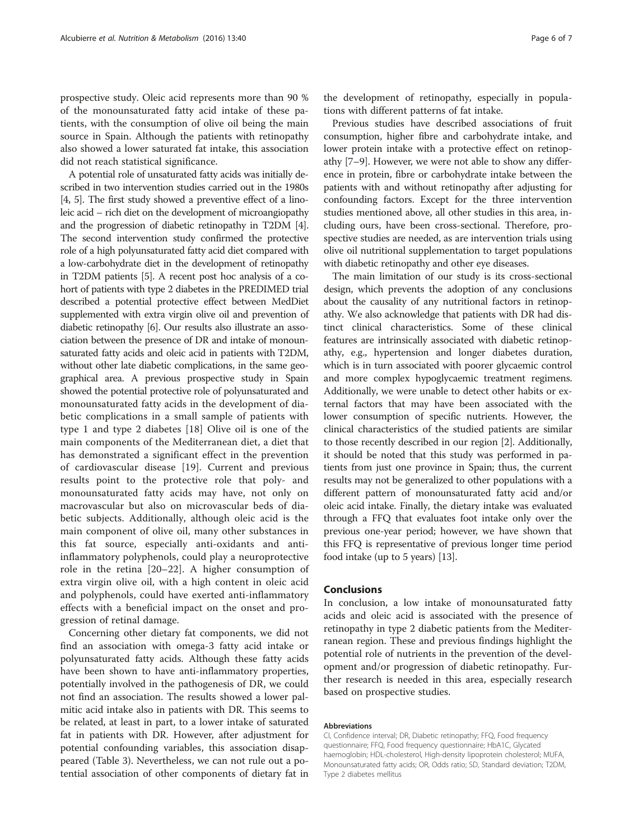prospective study. Oleic acid represents more than 90 % of the monounsaturated fatty acid intake of these patients, with the consumption of olive oil being the main source in Spain. Although the patients with retinopathy also showed a lower saturated fat intake, this association did not reach statistical significance.

A potential role of unsaturated fatty acids was initially described in two intervention studies carried out in the 1980s [[4](#page-6-0), [5](#page-6-0)]. The first study showed a preventive effect of a linoleic acid – rich diet on the development of microangiopathy and the progression of diabetic retinopathy in T2DM [[4](#page-6-0)]. The second intervention study confirmed the protective role of a high polyunsaturated fatty acid diet compared with a low-carbohydrate diet in the development of retinopathy in T2DM patients [[5](#page-6-0)]. A recent post hoc analysis of a cohort of patients with type 2 diabetes in the PREDIMED trial described a potential protective effect between MedDiet supplemented with extra virgin olive oil and prevention of diabetic retinopathy [\[6](#page-6-0)]. Our results also illustrate an association between the presence of DR and intake of monounsaturated fatty acids and oleic acid in patients with T2DM, without other late diabetic complications, in the same geographical area. A previous prospective study in Spain showed the potential protective role of polyunsaturated and monounsaturated fatty acids in the development of diabetic complications in a small sample of patients with type 1 and type 2 diabetes [[18\]](#page-6-0) Olive oil is one of the main components of the Mediterranean diet, a diet that has demonstrated a significant effect in the prevention of cardiovascular disease [\[19](#page-6-0)]. Current and previous results point to the protective role that poly- and monounsaturated fatty acids may have, not only on macrovascular but also on microvascular beds of diabetic subjects. Additionally, although oleic acid is the main component of olive oil, many other substances in this fat source, especially anti-oxidants and antiinflammatory polyphenols, could play a neuroprotective role in the retina [\[20](#page-6-0)–[22](#page-6-0)]. A higher consumption of extra virgin olive oil, with a high content in oleic acid and polyphenols, could have exerted anti-inflammatory effects with a beneficial impact on the onset and progression of retinal damage.

Concerning other dietary fat components, we did not find an association with omega-3 fatty acid intake or polyunsaturated fatty acids. Although these fatty acids have been shown to have anti-inflammatory properties, potentially involved in the pathogenesis of DR, we could not find an association. The results showed a lower palmitic acid intake also in patients with DR. This seems to be related, at least in part, to a lower intake of saturated fat in patients with DR. However, after adjustment for potential confounding variables, this association disappeared (Table [3](#page-3-0)). Nevertheless, we can not rule out a potential association of other components of dietary fat in

the development of retinopathy, especially in populations with different patterns of fat intake.

Previous studies have described associations of fruit consumption, higher fibre and carbohydrate intake, and lower protein intake with a protective effect on retinopathy [[7](#page-6-0)–[9](#page-6-0)]. However, we were not able to show any difference in protein, fibre or carbohydrate intake between the patients with and without retinopathy after adjusting for confounding factors. Except for the three intervention studies mentioned above, all other studies in this area, including ours, have been cross-sectional. Therefore, prospective studies are needed, as are intervention trials using olive oil nutritional supplementation to target populations with diabetic retinopathy and other eye diseases.

The main limitation of our study is its cross-sectional design, which prevents the adoption of any conclusions about the causality of any nutritional factors in retinopathy. We also acknowledge that patients with DR had distinct clinical characteristics. Some of these clinical features are intrinsically associated with diabetic retinopathy, e.g., hypertension and longer diabetes duration, which is in turn associated with poorer glycaemic control and more complex hypoglycaemic treatment regimens. Additionally, we were unable to detect other habits or external factors that may have been associated with the lower consumption of specific nutrients. However, the clinical characteristics of the studied patients are similar to those recently described in our region [[2](#page-6-0)]. Additionally, it should be noted that this study was performed in patients from just one province in Spain; thus, the current results may not be generalized to other populations with a different pattern of monounsaturated fatty acid and/or oleic acid intake. Finally, the dietary intake was evaluated through a FFQ that evaluates foot intake only over the previous one-year period; however, we have shown that this FFQ is representative of previous longer time period food intake (up to 5 years) [[13](#page-6-0)].

## Conclusions

In conclusion, a low intake of monounsaturated fatty acids and oleic acid is associated with the presence of retinopathy in type 2 diabetic patients from the Mediterranean region. These and previous findings highlight the potential role of nutrients in the prevention of the development and/or progression of diabetic retinopathy. Further research is needed in this area, especially research based on prospective studies.

#### Abbreviations

CI, Confidence interval; DR, Diabetic retinopathy; FFQ, Food frequency questionnaire; FFQ, Food frequency questionnaire; HbA1C, Glycated haemoglobin; HDL-cholesterol, High-density lipoprotein cholesterol; MUFA, Monounsaturated fatty acids; OR, Odds ratio; SD, Standard deviation; T2DM, Type 2 diabetes mellitus